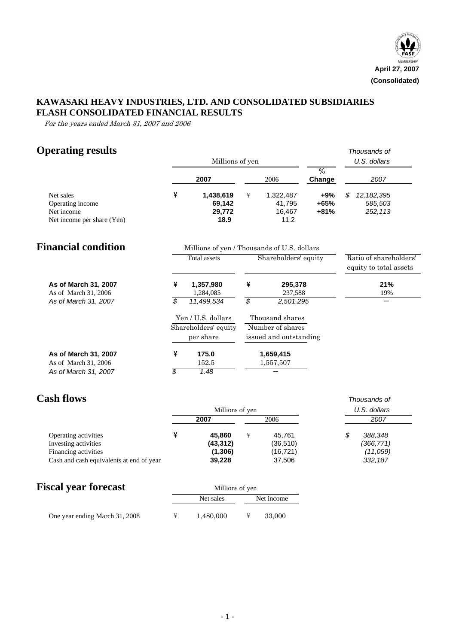

## **KAWASAKI HEAVY INDUSTRIES, LTD. AND CONSOLIDATED SUBSIDIARIES FLASH CONSOLIDATED FINANCIAL RESULTS**

For the years ended March 31, 2007 and 2006

# **Operating results** *Thousands of*

|                                              |                          | Millions of yen                             |   |                                     | U.S. dollars  |                                                  |
|----------------------------------------------|--------------------------|---------------------------------------------|---|-------------------------------------|---------------|--------------------------------------------------|
|                                              |                          | 2007                                        |   | 2006                                | %<br>Change   | 2007                                             |
| Net sales<br>Operating income                | ¥                        | 1,438,619<br>69,142                         | ¥ | 1,322,487<br>41,795                 | +9%<br>$+65%$ | S<br>12, 182, 395<br>585,503                     |
| Net income                                   |                          | 29,772                                      |   | 16,467                              | $+81%$        | 252,113                                          |
| Net income per share (Yen)                   |                          | 18.9                                        |   | 11.2                                |               |                                                  |
| <b>Financial condition</b>                   |                          | Millions of yen / Thousands of U.S. dollars |   |                                     |               |                                                  |
|                                              |                          | <b>Total assets</b>                         |   | Shareholders' equity                |               | Ratio of shareholders'<br>equity to total assets |
| As of March 31, 2007<br>As of March 31, 2006 | ¥                        | 1,357,980<br>1,284,085                      | ¥ | 295,378<br>237,588                  |               | 21%<br>19%                                       |
| As of March 31, 2007                         | $\overline{\mathcal{S}}$ | 11,499,534                                  |   | 2,501,295                           |               |                                                  |
|                                              |                          | Yen / U.S. dollars<br>Shareholders' equity  |   | Thousand shares<br>Number of shares |               |                                                  |
|                                              |                          | per share                                   |   | issued and outstanding              |               |                                                  |
| As of March 31, 2007                         | ¥                        | 175.0                                       |   | 1,659,415                           |               |                                                  |
| As of March 31, 2006                         |                          | 152.5                                       |   | 1,557,507                           |               |                                                  |
| As of March 31, 2007                         | \$                       | 1.48                                        |   |                                     |               |                                                  |

## **Cash flows** *Thousands of*

|                                          | Millions of yen |  | U.S. dollars |           |  |
|------------------------------------------|-----------------|--|--------------|-----------|--|
|                                          | 2007            |  | 2006         | 2007      |  |
| Operating activities                     | 45.860          |  | 45.761       | 388.348   |  |
| Investing activities                     | (43, 312)       |  | (36, 510)    | (366,771) |  |
| Financing activities                     | (1,306)         |  | (16, 721)    | (11, 059) |  |
| Cash and cash equivalents at end of year | 39,228          |  | 37,506       | 332,187   |  |

# **Fiscal year forecast** Millions of yen

|                                | Net sales | Net income |
|--------------------------------|-----------|------------|
| One year ending March 31, 2008 | 1.480,000 | 33,000     |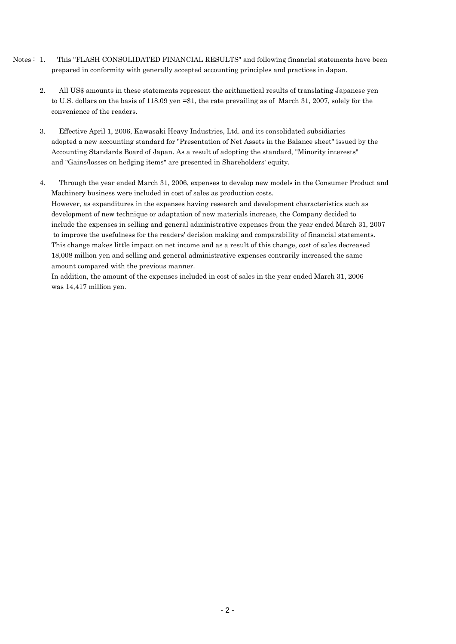- Notes : 1. This "FLASH CONSOLIDATED FINANCIAL RESULTS" and following financial statements have been prepared in conformity with generally accepted accounting principles and practices in Japan.
	- 2. All US\$ amounts in these statements represent the arithmetical results of translating Japanese yen to U.S. dollars on the basis of 118.09 yen =\$1, the rate prevailing as of March 31, 2007, solely for the convenience of the readers.
	- 3. Effective April 1, 2006, Kawasaki Heavy Industries, Ltd. and its consolidated subsidiaries adopted a new accounting standard for "Presentation of Net Assets in the Balance sheet" issued by the Accounting Standards Board of Japan. As a result of adopting the standard, "Minority interests" and "Gains/losses on hedging items" are presented in Shareholders' equity.
	- 4. Through the year ended March 31, 2006, expenses to develop new models in the Consumer Product and Machinery business were included in cost of sales as production costs. However, as expenditures in the expenses having research and development characteristics such as development of new technique or adaptation of new materials increase, the Company decided to include the expenses in selling and general administrative expenses from the year ended March 31, 2007 to improve the usefulness for the readers' decision making and comparability of financial statements. This change makes little impact on net income and as a result of this change, cost of sales decreased 18,008 million yen and selling and general administrative expenses contrarily increased the same amount compared with the previous manner.

In addition, the amount of the expenses included in cost of sales in the year ended March 31, 2006 was 14,417 million yen.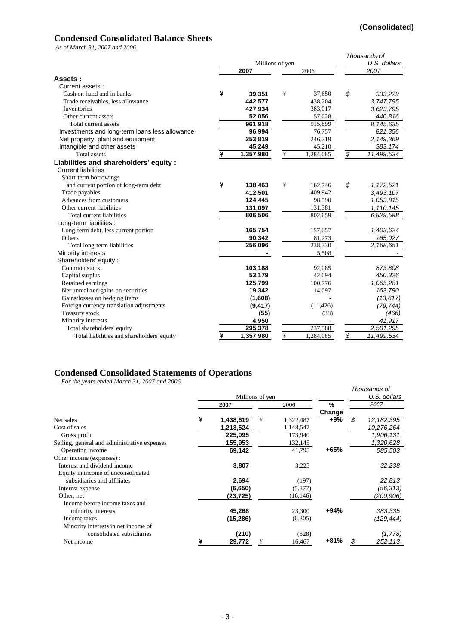## **Condensed Consolidated Balance Sheets**

*As of March 31, 2007 and 2006*

|                                                |   |                 |   |              |                          | Thousands of |
|------------------------------------------------|---|-----------------|---|--------------|--------------------------|--------------|
|                                                |   | Millions of yen |   | U.S. dollars |                          |              |
|                                                |   | 2007            |   | 2006         |                          | 2007         |
| Assets:                                        |   |                 |   |              |                          |              |
| Current assets:                                |   |                 |   |              |                          |              |
| Cash on hand and in banks                      | ¥ | 39,351          | ¥ | 37,650       | \$                       | 333,229      |
| Trade receivables, less allowance              |   | 442.577         |   | 438,204      |                          | 3,747,795    |
| Inventories                                    |   | 427,934         |   | 383,017      |                          | 3,623,795    |
| Other current assets                           |   | 52,056          |   | 57,028       |                          | 440,816      |
| Total current assets                           |   | 961,918         |   | 915,899      |                          | 8,145,635    |
| Investments and long-term loans less allowance |   | 96,994          |   | 76,757       |                          | 821,356      |
| Net property, plant and equipment              |   | 253,819         |   | 246,219      |                          | 2,149,369    |
| Intangible and other assets                    |   | 45,249          |   | 45,210       |                          | 383, 174     |
| <b>Total assets</b>                            |   | 1,357,980       | ¥ | 1,284,085    | \$                       | 11,499,534   |
| Liabilities and shareholders' equity :         |   |                 |   |              |                          |              |
| Current liabilities :                          |   |                 |   |              |                          |              |
| Short-term borrowings                          |   |                 |   |              |                          |              |
| and current portion of long-term debt          | ¥ | 138,463         | ¥ | 162,746      | \$                       | 1,172,521    |
| Trade payables                                 |   | 412,501         |   | 409,942      |                          | 3,493,107    |
| Advances from customers                        |   | 124,445         |   | 98,590       |                          | 1,053,815    |
| Other current liabilities                      |   | 131,097         |   | 131,381      |                          | 1,110,145    |
| Total current liabilities                      |   | 806,506         |   | 802,659      |                          | 6,829,588    |
| Long-term liabilities :                        |   |                 |   |              |                          |              |
| Long-term debt, less current portion           |   | 165,754         |   | 157,057      |                          | 1,403,624    |
| Others                                         |   | 90,342          |   | 81,273       |                          | 765,027      |
| Total long-term liabilities                    |   | 256,096         |   | 238,330      |                          | 2,168,651    |
| Minority interests                             |   |                 |   | 5,508        |                          |              |
| Shareholders' equity:                          |   |                 |   |              |                          |              |
| Common stock                                   |   | 103,188         |   | 92,085       |                          | 873,808      |
| Capital surplus                                |   | 53,179          |   | 42,094       |                          | 450,326      |
| Retained earnings                              |   | 125,799         |   | 100,776      |                          | 1,065,281    |
| Net unrealized gains on securities             |   | 19,342          |   | 14,097       |                          | 163,790      |
| Gains/losses on hedging items                  |   | (1,608)         |   |              |                          | (13, 617)    |
| Foreign currency translation adjustments       |   | (9, 417)        |   | (11, 426)    |                          | (79, 744)    |
| Treasury stock                                 |   | (55)            |   | (38)         |                          | (466)        |
| Minority interests                             |   | 4,950           |   |              |                          | 41,917       |
| Total shareholders' equity                     |   | 295,378         |   | 237,588      |                          | 2,501,295    |
| Total liabilities and shareholders' equity     | ¥ | 1,357,980       | ¥ | 1,284,085    | $\overline{\mathcal{S}}$ | 11,499,534   |

### **Condensed Consolidated Statements of Operations**

*For the years ended March 31, 2007 and 2006*

|                                              | Millions of yen |   |           |        | Thousands of<br>U.S. dollars |
|----------------------------------------------|-----------------|---|-----------|--------|------------------------------|
|                                              | 2007            |   | 2006      | %      | 2007                         |
|                                              |                 |   |           | Change |                              |
| Net sales                                    | 1,438,619       | ¥ | 1,322,487 | +9%    | \$<br>12, 182, 395           |
| Cost of sales                                | 1,213,524       |   | 1,148,547 |        | 10,276,264                   |
| Gross profit                                 | 225,095         |   | 173,940   |        | 1,906,131                    |
| Selling, general and administrative expenses | 155,953         |   | 132,145   |        | 1,320,628                    |
| Operating income                             | 69,142          |   | 41,795    | $+65%$ | 585,503                      |
| Other income (expenses) :                    |                 |   |           |        |                              |
| Interest and dividend income                 | 3,807           |   | 3,225     |        | 32,238                       |
| Equity in income of unconsolidated           |                 |   |           |        |                              |
| subsidiaries and affiliates                  | 2,694           |   | (197)     |        | 22,813                       |
| Interest expense                             | (6,650)         |   | (5,377)   |        | (56, 313)                    |
| Other, net                                   | (23, 725)       |   | (16, 146) |        | (200, 906)                   |
| Income before income taxes and               |                 |   |           |        |                              |
| minority interests                           | 45,268          |   | 23,300    | $+94%$ | 383,335                      |
| Income taxes                                 | (15, 286)       |   | (6,305)   |        | (129, 444)                   |
| Minority interests in net income of          |                 |   |           |        |                              |
| consolidated subsidiaries                    | (210)           |   | (528)     |        | (1,778)                      |
| Net income                                   | 29,772          | ¥ | 16,467    | $+81%$ | \$<br>252,113                |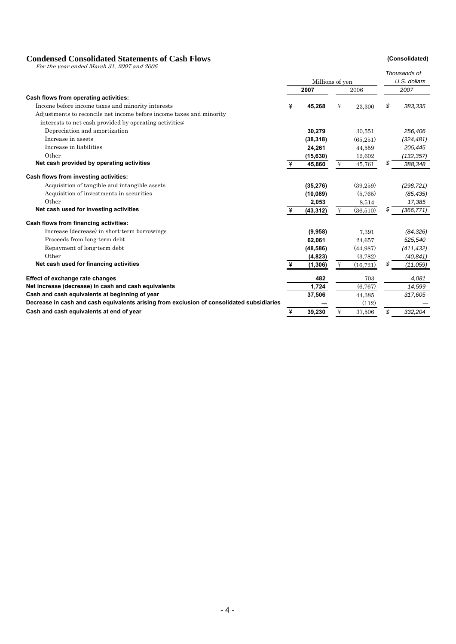### **Condensed Consolidated Statements of Cash Flows (Consolidated)**

For the year ended March 31, 2007 and 2006

|                                                                                           |   |                 |   |           |    | Thousands of |
|-------------------------------------------------------------------------------------------|---|-----------------|---|-----------|----|--------------|
|                                                                                           |   | Millions of yen |   |           |    | U.S. dollars |
|                                                                                           |   | 2007            |   | 2006      |    | 2007         |
| Cash flows from operating activities:                                                     |   |                 |   |           |    |              |
| Income before income taxes and minority interests                                         |   | 45,268          | ¥ | 23,300    | \$ | 383,335      |
| Adjustments to reconcile net income before income taxes and minority                      |   |                 |   |           |    |              |
| interests to net cash provided by operating activities:                                   |   |                 |   |           |    |              |
| Depreciation and amortization                                                             |   | 30,279          |   | 30,551    |    | 256,406      |
| Increase in assets                                                                        |   | (38, 318)       |   | (65, 251) |    | (324, 481)   |
| Increase in liabilities                                                                   |   | 24,261          |   | 44,559    |    | 205,445      |
| Other                                                                                     |   | (15, 630)       |   | 12,602    |    | (132, 357)   |
| Net cash provided by operating activities                                                 | ¥ | 45,860          | ¥ | 45,761    | S  | 388,348      |
| Cash flows from investing activities:                                                     |   |                 |   |           |    |              |
| Acquisition of tangible and intangible assets                                             |   | (35, 276)       |   | (39,259)  |    | (298, 721)   |
| Acquisition of investments in securities                                                  |   | (10,089)        |   | (5,765)   |    | (85, 435)    |
| Other                                                                                     |   | 2,053           |   | 8,514     |    | 17,385       |
| Net cash used for investing activities                                                    | ¥ | (43, 312)       | ¥ | (36,510)  | S  | (366, 771)   |
| Cash flows from financing activities:                                                     |   |                 |   |           |    |              |
| Increase (decrease) in short-term borrowings                                              |   | (9,958)         |   | 7,391     |    | (84, 326)    |
| Proceeds from long-term debt                                                              |   | 62,061          |   | 24,657    |    | 525,540      |
| Repayment of long-term debt                                                               |   | (48, 586)       |   | (44, 987) |    | (411, 432)   |
| Other                                                                                     |   | (4,823)         |   | (3,782)   |    | (40, 841)    |
| Net cash used for financing activities                                                    |   | (1, 306)        | ¥ | (16, 721) | S  | (11,059)     |
| <b>Effect of exchange rate changes</b>                                                    |   | 482             |   | 703       |    | 4,081        |
| Net increase (decrease) in cash and cash equivalents                                      |   | 1,724           |   | (6,767)   |    | 14,599       |
| Cash and cash equivalents at beginning of year                                            |   | 37,506          |   | 44,385    |    | 317,605      |
| Decrease in cash and cash equivalents arising from exclusion of consolidated subsidiaries |   |                 |   | (112)     |    |              |
| Cash and cash equivalents at end of year                                                  | ¥ | 39,230          |   | 37,506    | \$ | 332,204      |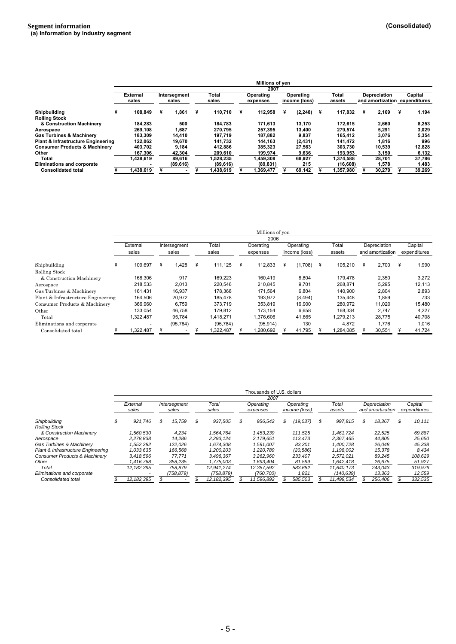|                                               |                          |                       |   |                |     | Millions of ven       |                            |   |                 |                                                      |   |         |
|-----------------------------------------------|--------------------------|-----------------------|---|----------------|-----|-----------------------|----------------------------|---|-----------------|------------------------------------------------------|---|---------|
|                                               |                          |                       |   |                |     | 2007                  |                            |   |                 |                                                      |   |         |
|                                               | <b>External</b><br>sales | Intersegment<br>sales |   | Total<br>sales |     | Operating<br>expenses | Operating<br>income (loss) |   | Total<br>assets | <b>Depreciation</b><br>and amortization expenditures |   | Capital |
| <b>Shipbuilding</b>                           | 108.849                  | 1.861                 | ¥ | 110.710        | -¥. | 112.958               | (2, 248)                   | × | 117,832         | 2.169                                                | ¥ | 1,194   |
| <b>Rolling Stock</b>                          |                          |                       |   |                |     |                       |                            |   |                 |                                                      |   |         |
| & Construction Machinery                      | 184,283                  | 500                   |   | 184.783        |     | 171.613               | 13,170                     |   | 172.615         | 2.660                                                |   | 8,253   |
| Aerospace                                     | 269.108                  | 1.687                 |   | 270.795        |     | 257.395               | 13.400                     |   | 279.574         | 5.291                                                |   | 3,029   |
| <b>Gas Turbines &amp; Machinerv</b>           | 183.309                  | 14.410                |   | 197.719        |     | 187.882               | 9,837                      |   | 165.412         | 3,076                                                |   | 5,354   |
| <b>Plant &amp; Infrastructure Engineering</b> | 122,062                  | 19,670                |   | 141.732        |     | 144.163               | (2, 431)                   |   | 141,472         | 1,816                                                |   | 996     |
| <b>Consumer Products &amp; Machinery</b>      | 403.702                  | 9.184                 |   | 412.886        |     | 385.323               | 27,563                     |   | 303.730         | 10,539                                               |   | 12,828  |
| Other                                         | 167.306                  | 42.304                |   | 209.610        |     | 199.974               | 9.636                      |   | 193.953         | 3.150                                                |   | 6,132   |
| Total                                         | 1.438.619                | 89.616                |   | 1,528,235      |     | 1.459.308             | 68,927                     |   | 1.374.588       | 28.701                                               |   | 37,786  |
| <b>Eliminations and corporate</b>             |                          | (89, 616)             |   | (89, 616)      |     | (89, 831)             | 215                        |   | (16, 608)       | 1.578                                                |   | 1,483   |
| <b>Consolidated total</b>                     | 1.438.619                |                       |   | 1.438.619      |     | .369.477              | 69.142                     |   | 357,980         | 30.279                                               |   | 39.269  |

|                                    |                   |   |                       |   |                |   | Millions of ven       |   |                            |   |                 |   |                                  |   |                         |
|------------------------------------|-------------------|---|-----------------------|---|----------------|---|-----------------------|---|----------------------------|---|-----------------|---|----------------------------------|---|-------------------------|
|                                    |                   |   |                       |   |                |   | 2006                  |   |                            |   |                 |   |                                  |   |                         |
|                                    | External<br>sales |   | Intersegment<br>sales |   | Total<br>sales |   | Operating<br>expenses |   | Operating<br>income (loss) |   | Total<br>assets |   | Depreciation<br>and amortization |   | Capital<br>expenditures |
| Shipbuilding                       | 109.697           | ¥ | 1.428                 | ¥ | 111.125        | ¥ | 112.833               | ¥ | (1,708)                    | ¥ | 105,210         | ¥ | 2,700                            | ¥ | 1,990                   |
| Rolling Stock                      |                   |   |                       |   |                |   |                       |   |                            |   |                 |   |                                  |   |                         |
| & Construction Machinery           | 168,306           |   | 917                   |   | 169.223        |   | 160.419               |   | 8,804                      |   | 179.478         |   | 2,350                            |   | 3,272                   |
| Aerospace                          | 218,533           |   | 2,013                 |   | 220.546        |   | 210.845               |   | 9,701                      |   | 268.871         |   | 5,295                            |   | 12,113                  |
| Gas Turbines & Machinery           | 161.431           |   | 16,937                |   | 178.368        |   | 171.564               |   | 6.804                      |   | 140.900         |   | 2,804                            |   | 2,893                   |
| Plant & Infrastructure Engineering | 164,506           |   | 20,972                |   | 185.478        |   | 193,972               |   | (8, 494)                   |   | 135,448         |   | 1,859                            |   | 733                     |
| Consumer Products & Machinery      | 366,960           |   | 6,759                 |   | 373.719        |   | 353.819               |   | 19,900                     |   | 280,972         |   | 11,020                           |   | 15,480                  |
| Other                              | 133.054           |   | 46.758                |   | 179.812        |   | 173.154               |   | 6,658                      |   | 168,334         |   | 2,747                            |   | 4,227                   |
| Total                              | 1.322.487         |   | 95.784                |   | 1.418.271      |   | 1,376,606             |   | 41,665                     |   | 1,279,213       |   | 28,775                           |   | 40,708                  |
| Eliminations and corporate         |                   |   | (95, 784)             |   | (95, 784)      |   | (95, 914)             |   | 130                        |   | 4,872           |   | 1.776                            |   | 1,016                   |
| Consolidated total                 | ,322,487          |   |                       |   | 322,487        |   | ,280,692              |   | 41,795                     |   | ,284,085        |   | 30,551                           |   | 41,724                  |

|                                          | Thousands of U.S. dollars<br>2007 |    |              |   |            |    |            |    |               |    |            |  |                  |   |              |
|------------------------------------------|-----------------------------------|----|--------------|---|------------|----|------------|----|---------------|----|------------|--|------------------|---|--------------|
|                                          | External                          |    | Intersegment |   | Total      |    | Operating  |    | Operating     |    | Total      |  | Depreciation     |   | Capital      |
|                                          | sales                             |    | sales        |   | sales      |    | expenses   |    | income (loss) |    | assets     |  | and amortization |   | expenditures |
| Shipbuilding                             | 921,746                           | \$ | 15,759       | S | 937,505    | \$ | 956,542    | \$ | (19.037)      | \$ | 997.815    |  | 18,367           | S | 10,111       |
| <b>Rolling Stock</b>                     |                                   |    |              |   |            |    |            |    |               |    |            |  |                  |   |              |
| & Construction Machinery                 | 1.560.530                         |    | 4.234        |   | 1.564.764  |    | 1.453.239  |    | 111.525       |    | 1.461.724  |  | 22,525           |   | 69,887       |
| Aerospace                                | 2.278.838                         |    | 14.286       |   | 2.293.124  |    | 2.179.651  |    | 113.473       |    | 2.367.465  |  | 44.805           |   | 25,650       |
| Gas Turbines & Machinery                 | .552.282                          |    | 122.026      |   | 1.674.308  |    | 1.591.007  |    | 83.301        |    | 1.400.728  |  | 26.048           |   | 45,338       |
| Plant & Infrastructure Engineering       | 1,033,635                         |    | 166,568      |   | 1,200,203  |    | 1,220,789  |    | (20, 586)     |    | 1,198,002  |  | 15,378           |   | 8,434        |
| <b>Consumer Products &amp; Machinery</b> | 3.418.596                         |    | 77.771       |   | 3.496.367  |    | 3.262.960  |    | 233.407       |    | 2.572.021  |  | 89.245           |   | 108.629      |
| Other                                    | 1.416.768                         |    | 358,235      |   | 1,775,003  |    | 1,693,404  |    | 81,599        |    | 1.642.418  |  | 26,675           |   | 51,927       |
| Total                                    | 12.182.395                        |    | 758.879      |   | 12.941.274 |    | 12.357.592 |    | 583.682       |    | 11.640.173 |  | 243.043          |   | 319,976      |
| Eliminations and corporate               |                                   |    | (758, 879)   |   | (758,879)  |    | (760, 700) |    | 1,821         |    | (140,639)  |  | 13,363           |   | 12,559       |
| Consolidated total                       | 12.182.395                        |    |              |   | 12.182.395 |    | 11.596.892 |    | 585.503       |    | 11.499.534 |  | 256.406          |   | 332.535      |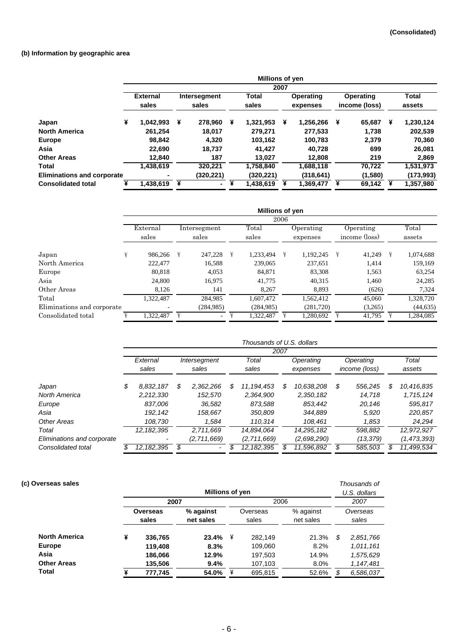### **(b) Information by geographic area**

|                                   |                          |           |   |                       |   | Millions of yen       |      |                       |   |                            |   |                        |
|-----------------------------------|--------------------------|-----------|---|-----------------------|---|-----------------------|------|-----------------------|---|----------------------------|---|------------------------|
|                                   |                          |           |   |                       |   |                       | 2007 |                       |   |                            |   |                        |
|                                   | <b>External</b><br>sales |           |   | Intersegment<br>sales |   | <b>Total</b><br>sales |      | Operating<br>expenses |   | Operating<br>income (loss) |   | <b>Total</b><br>assets |
| Japan                             | ¥                        | 1.042.993 | ¥ | 278,960               | ¥ | 1,321,953             | ¥    | 1,256,266             | ¥ | 65.687                     | ¥ | 1,230,124              |
| <b>North America</b>              |                          | 261.254   |   | 18.017                |   | 279.271               |      | 277.533               |   | 1.738                      |   | 202,539                |
| <b>Europe</b>                     |                          | 98.842    |   | 4.320                 |   | 103.162               |      | 100.783               |   | 2.379                      |   | 70,360                 |
| Asia                              |                          | 22,690    |   | 18,737                |   | 41,427                |      | 40,728                |   | 699                        |   | 26,081                 |
| <b>Other Areas</b>                |                          | 12.840    |   | 187                   |   | 13.027                |      | 12.808                |   | 219                        |   | 2,869                  |
| Total                             |                          | 1,438,619 |   | 320.221               |   | 1,758,840             |      | 1,688,118             |   | 70.722                     |   | 1,531,973              |
| <b>Eliminations and corporate</b> |                          | ۰         |   | (320, 221)            |   | (320,221)             |      | (318,641)             |   | (1,580)                    |   | (173,993)              |
| <b>Consolidated total</b>         | ¥                        | 1,438,619 | ¥ | ۰.                    |   | 1,438,619             |      | 1,369,477             |   | 69,142                     |   | 1.357.980              |

|                            |   |                   |   |                          |   | Millions of yen |      |                       |   |                            |   |                 |
|----------------------------|---|-------------------|---|--------------------------|---|-----------------|------|-----------------------|---|----------------------------|---|-----------------|
|                            |   |                   |   |                          |   |                 | 2006 |                       |   |                            |   |                 |
|                            |   | External<br>sales |   | Intersegment<br>sales    |   | Total<br>sales  |      | Operating<br>expenses |   | Operating<br>income (loss) |   | Total<br>assets |
| Japan                      | ¥ | 986,266           | ¥ | 247.228                  | ¥ | 1.233.494       | ¥    | 1.192.245             | ¥ | 41,249                     | ¥ | 1,074,688       |
| North America              |   | 222.477           |   | 16,588                   |   | 239,065         |      | 237.651               |   | 1,414                      |   | 159,169         |
| Europe                     |   | 80,818            |   | 4,053                    |   | 84.871          |      | 83,308                |   | 1,563                      |   | 63,254          |
| Asia                       |   | 24,800            |   | 16,975                   |   | 41,775          |      | 40,315                |   | 1,460                      |   | 24,285          |
| Other Areas                |   | 8,126             |   | 141                      |   | 8.267           |      | 8,893                 |   | (626)                      |   | 7,324           |
| Total                      |   | 1,322,487         |   | 284,985                  |   | 1.607.472       |      | 1,562,412             |   | 45,060                     |   | 1,328,720       |
| Eliminations and corporate |   |                   |   | (284, 985)               |   | (284, 985)      |      | (281,720)             |   | (3,265)                    |   | (44, 635)       |
| Consolidated total         |   | 1,322,487         | ¥ | $\overline{\phantom{0}}$ |   | 1,322,487       |      | 1,280,692             |   | 41,795                     |   | 1,284,085       |

|                            |                   |              |   |                          |   | Thousands of U.S. dollars |      |                       |                            |                  |
|----------------------------|-------------------|--------------|---|--------------------------|---|---------------------------|------|-----------------------|----------------------------|------------------|
|                            |                   |              |   |                          |   |                           | 2007 |                       |                            |                  |
|                            | External<br>sales |              |   | Intersegment<br>sales    |   | Total<br>sales            |      | Operating<br>expenses | Operating<br>income (loss) | Total<br>assets  |
| Japan                      | \$                | 8.832.187    | S | 2.362.266                | S | 11.194.453                | \$   | 10.638.208            | \$<br>556,245              | \$<br>10,416,835 |
| North America              |                   | 2.212.330    |   | 152.570                  |   | 2.364.900                 |      | 2.350.182             | 14.718                     | 1,715,124        |
| Europe                     |                   | 837.006      |   | 36.582                   |   | 873.588                   |      | 853.442               | 20.146                     | 595.817          |
| Asia                       |                   | 192.142      |   | 158,667                  |   | 350,809                   |      | 344,889               | 5,920                      | 220,857          |
| Other Areas                |                   | 108.730      |   | 1.584                    |   | 110.314                   |      | 108.461               | 1,853                      | 24.294           |
| Total                      |                   | 12.182.395   |   | 2.711.669                |   | 14.894.064                |      | 14.295.182            | 598.882                    | 12,972,927       |
| Eliminations and corporate |                   |              |   | (2,711,669)              |   | (2,711,669)               |      | (2,698,290)           | (13, 379)                  | (1, 473, 393)    |
| Consolidated total         | S                 | 12, 182, 395 | S | $\overline{\phantom{a}}$ |   | 12, 182, 395              |      | 11.596.892            | 585.503                    | \$<br>11.499.534 |

| (c) Overseas sales   |                   | Millions of yen |                        |                   |         |                        |                   |           |  |
|----------------------|-------------------|-----------------|------------------------|-------------------|---------|------------------------|-------------------|-----------|--|
|                      |                   | 2007            |                        | 2006              |         |                        |                   | 2007      |  |
|                      | Overseas<br>sales |                 | % against<br>net sales | Overseas<br>sales |         | % against<br>net sales | Overseas<br>sales |           |  |
| <b>North America</b> | ¥                 | 336,765         | 23.4%                  | ¥                 | 282,149 | 21.3%                  | \$                | 2,851,766 |  |
| <b>Europe</b>        |                   | 119,408         | 8.3%                   |                   | 109,060 | 8.2%                   |                   | 1,011,161 |  |
| Asia                 |                   | 186,066         | 12.9%                  |                   | 197,503 | 14.9%                  |                   | 1,575,629 |  |
| <b>Other Areas</b>   |                   | 135,506         | 9.4%                   |                   | 107,103 | 8.0%                   |                   | 1,147,481 |  |
| Total                |                   | 777,745         | 54.0%                  | ¥                 | 695,815 | 52.6%                  |                   | 6,586,037 |  |